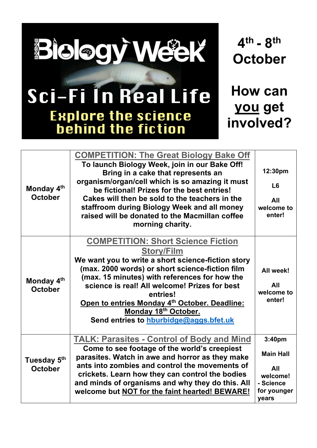

Sci-Fi In Real Life

**Explore the science<br>behind the fiction** 

**4th - 8th October**

**How can you get involved?**

| Monday 4 <sup>th</sup><br><b>October</b>  | <b>COMPETITION: The Great Biology Bake Off</b><br>To launch Biology Week, join in our Bake Off!<br>Bring in a cake that represents an<br>organism/organ/cell which is so amazing it must<br>be fictional! Prizes for the best entries!<br>Cakes will then be sold to the teachers in the<br>staffroom during Biology Week and all money<br>raised will be donated to the Macmillan coffee<br>morning charity. | 12:30pm<br>L <sub>6</sub><br>All<br>welcome to<br>enter!                           |
|-------------------------------------------|---------------------------------------------------------------------------------------------------------------------------------------------------------------------------------------------------------------------------------------------------------------------------------------------------------------------------------------------------------------------------------------------------------------|------------------------------------------------------------------------------------|
| Monday 4 <sup>th</sup><br><b>October</b>  | <b>COMPETITION: Short Science Fiction</b><br><b>Story/Film</b><br>We want you to write a short science-fiction story<br>(max. 2000 words) or short science-fiction film<br>(max. 15 minutes) with references for how the<br>science is real! All welcome! Prizes for best<br>entries!<br>Open to entries Monday 4th October. Deadline:<br>Monday 18th October.<br>Send entries to hburbidge@aggs.bfet.uk      | All week!<br>All<br>welcome to<br>enter!                                           |
| Tuesday 5 <sup>th</sup><br><b>October</b> | <b>TALK: Parasites - Control of Body and Mind</b><br>Come to see footage of the world's creepiest<br>parasites. Watch in awe and horror as they make<br>ants into zombies and control the movements of<br>crickets. Learn how they can control the bodies<br>and minds of organisms and why they do this. All<br>welcome but NOT for the faint hearted! BEWARE!                                               | 3:40pm<br><b>Main Hall</b><br>All<br>welcome!<br>- Science<br>for younger<br>years |